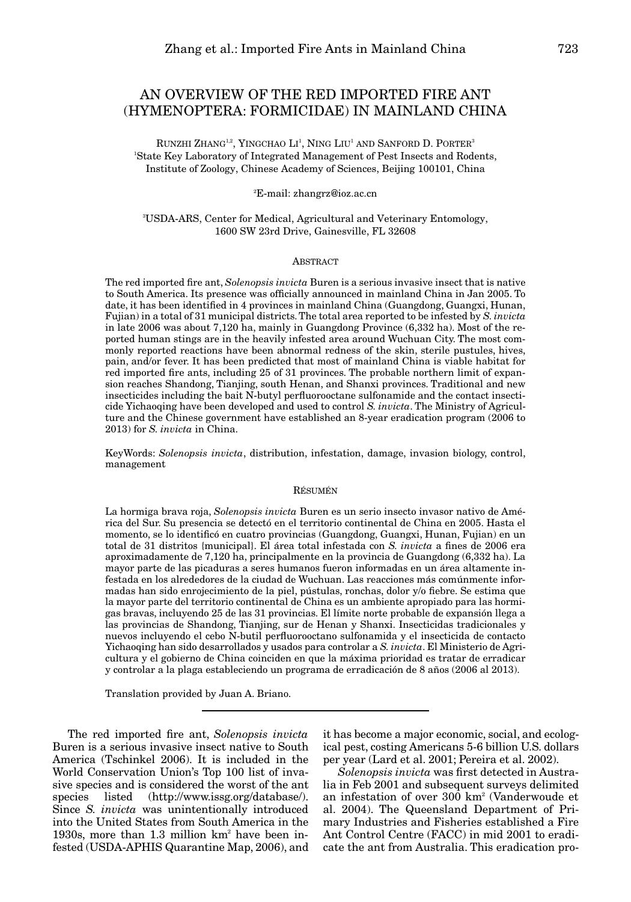# AN OVERVIEW OF THE RED IMPORTED FIRE ANT (HYMENOPTERA: FORMICIDAE) IN MAINLAND CHINA

RUNZHI ZHANG $^{1,2}$ , YINGCHAO  $\rm{Li}$ ', NING  $\rm{Liu^{\scriptscriptstyle{1}}}$  and Sanford D. Porter $^3$ 1 State Key Laboratory of Integrated Management of Pest Insects and Rodents, Institute of Zoology, Chinese Academy of Sciences, Beijing 100101, China

2 E-mail: zhangrz@ioz.ac.cn

3 USDA-ARS, Center for Medical, Agricultural and Veterinary Entomology, 1600 SW 23rd Drive, Gainesville, FL 32608

## ABSTRACT

The red imported fire ant, *Solenopsis invicta* Buren is a serious invasive insect that is native to South America. Its presence was officially announced in mainland China in Jan 2005. To date, it has been identified in 4 provinces in mainland China (Guangdong, Guangxi, Hunan, Fujian) in a total of 31 municipal districts. The total area reported to be infested by *S. invicta* in late 2006 was about 7,120 ha, mainly in Guangdong Province (6,332 ha). Most of the reported human stings are in the heavily infested area around Wuchuan City. The most commonly reported reactions have been abnormal redness of the skin, sterile pustules, hives, pain, and/or fever. It has been predicted that most of mainland China is viable habitat for red imported fire ants, including 25 of 31 provinces. The probable northern limit of expansion reaches Shandong, Tianjing, south Henan, and Shanxi provinces. Traditional and new insecticides including the bait N-butyl perfluorooctane sulfonamide and the contact insecticide Yichaoqing have been developed and used to control *S. invicta*. The Ministry of Agriculture and the Chinese government have established an 8-year eradication program (2006 to 2013) for *S. invicta* in China.

KeyWords: *Solenopsis invicta*, distribution, infestation, damage, invasion biology, control, management

#### RÉSUMÉN

La hormiga brava roja, *Solenopsis invicta* Buren es un serio insecto invasor nativo de América del Sur. Su presencia se detectó en el territorio continental de China en 2005. Hasta el momento, se lo identificó en cuatro provincias (Guangdong, Guangxi, Hunan, Fujian) en un total de 31 distritos {municipal}. El área total infestada con *S. invicta* a fines de 2006 era aproximadamente de 7,120 ha, principalmente en la provincia de Guangdong (6,332 ha). La mayor parte de las picaduras a seres humanos fueron informadas en un área altamente infestada en los alrededores de la ciudad de Wuchuan. Las reacciones más comúnmente informadas han sido enrojecimiento de la piel, pústulas, ronchas, dolor y/o fiebre. Se estima que la mayor parte del territorio continental de China es un ambiente apropiado para las hormigas bravas, incluyendo 25 de las 31 provincias. El límite norte probable de expansión llega a las provincias de Shandong, Tianjing, sur de Henan y Shanxi. Insecticidas tradicionales y nuevos incluyendo el cebo N-butil perfluorooctano sulfonamida y el insecticida de contacto Yichaoqing han sido desarrollados y usados para controlar a *S. invicta*. El Ministerio de Agricultura y el gobierno de China coinciden en que la máxima prioridad es tratar de erradicar y controlar a la plaga estableciendo un programa de erradicación de 8 años (2006 al 2013).

Translation provided by Juan A. Briano.

The red imported fire ant, *Solenopsis invicta* Buren is a serious invasive insect native to South America (Tschinkel 2006). It is included in the World Conservation Union's Top 100 list of invasive species and is considered the worst of the ant species listed (http://www.issg.org/database/). Since *S. invicta* was unintentionally introduced into the United States from South America in the 1930s, more than 1.3 million km2 have been infested (USDA-APHIS Quarantine Map, 2006), and it has become a major economic, social, and ecological pest, costing Americans 5-6 billion U.S. dollars per year (Lard et al. 2001; Pereira et al. 2002).

*Solenopsis invicta* was first detected in Australia in Feb 2001 and subsequent surveys delimited an infestation of over 300 km2 (Vanderwoude et al. 2004). The Queensland Department of Primary Industries and Fisheries established a Fire Ant Control Centre (FACC) in mid 2001 to eradicate the ant from Australia. This eradication pro-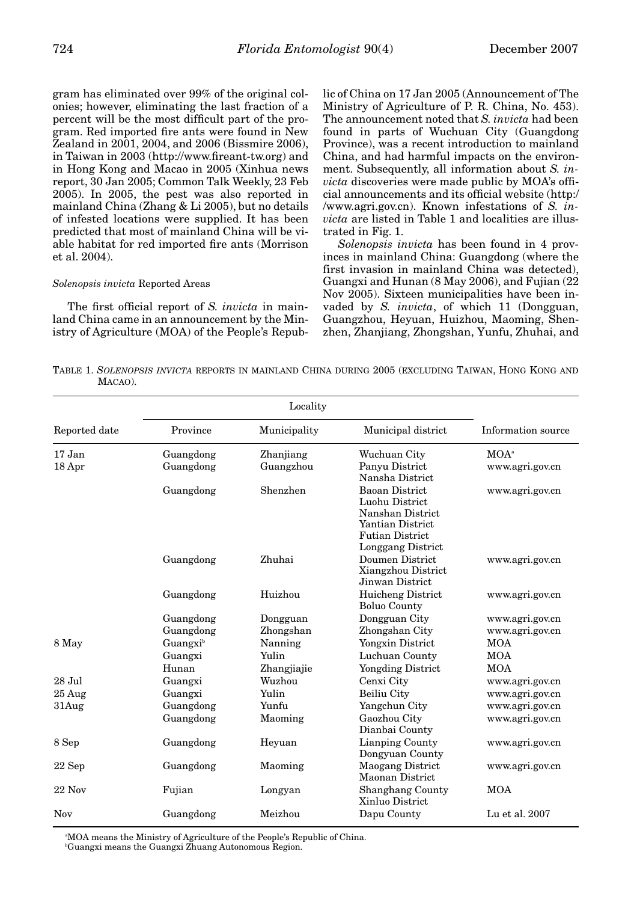gram has eliminated over 99% of the original colonies; however, eliminating the last fraction of a percent will be the most difficult part of the program. Red imported fire ants were found in New Zealand in 2001, 2004, and 2006 (Bissmire 2006), in Taiwan in 2003 (http://www.fireant-tw.org) and in Hong Kong and Macao in 2005 (Xinhua news report, 30 Jan 2005; Common Talk Weekly, 23 Feb 2005). In 2005, the pest was also reported in mainland China (Zhang & Li 2005), but no details of infested locations were supplied. It has been predicted that most of mainland China will be viable habitat for red imported fire ants (Morrison et al. 2004).

# *Solenopsis invicta* Reported Areas

The first official report of *S. invicta* in mainland China came in an announcement by the Ministry of Agriculture (MOA) of the People's Republic of China on 17 Jan 2005 (Announcement of The Ministry of Agriculture of P. R. China, No. 453). The announcement noted that *S. invicta* had been found in parts of Wuchuan City (Guangdong Province), was a recent introduction to mainland China, and had harmful impacts on the environment. Subsequently, all information about *S. invicta* discoveries were made public by MOA's official announcements and its official website (http:/ /www.agri.gov.cn). Known infestations of *S. invicta* are listed in Table 1 and localities are illustrated in Fig. 1.

*Solenopsis invicta* has been found in 4 provinces in mainland China: Guangdong (where the first invasion in mainland China was detected), Guangxi and Hunan (8 May 2006), and Fujian (22 Nov 2005). Sixteen municipalities have been invaded by *S. invicta*, of which 11 (Dongguan, Guangzhou, Heyuan, Huizhou, Maoming, Shenzhen, Zhanjiang, Zhongshan, Yunfu, Zhuhai, and

TABLE 1. *SOLENOPSIS INVICTA* REPORTS IN MAINLAND CHINA DURING 2005 (EXCLUDING TAIWAN, HONG KONG AND MACAO).

|               | Locality  |              |                                                                                                                                |                    |  |
|---------------|-----------|--------------|--------------------------------------------------------------------------------------------------------------------------------|--------------------|--|
| Reported date | Province  | Municipality | Municipal district                                                                                                             | Information source |  |
| $17$ Jan      | Guangdong | Zhanjiang    | Wuchuan City                                                                                                                   | $MOA^a$            |  |
| 18 Apr        | Guangdong | Guangzhou    | Panyu District<br>Nansha District                                                                                              | www.agri.gov.cn    |  |
|               | Guangdong | Shenzhen     | <b>Baoan District</b><br>Luohu District<br>Nanshan District<br>Yantian District<br><b>Futian District</b><br>Longgang District | www.agri.gov.cn    |  |
|               | Guangdong | Zhuhai       | Doumen District<br>Xiangzhou District<br>Jinwan District                                                                       | www.agri.gov.cn    |  |
|               | Guangdong | Huizhou      | Huicheng District<br><b>Boluo County</b>                                                                                       | www.agri.gov.cn    |  |
|               | Guangdong | Dongguan     | Dongguan City                                                                                                                  | www.agri.gov.cn    |  |
|               | Guangdong | Zhongshan    | Zhongshan City                                                                                                                 | www.agri.gov.cn    |  |
| 8 May         | Guangxib  | Nanning      | Yongxin District                                                                                                               | <b>MOA</b>         |  |
|               | Guangxi   | Yulin        | Luchuan County                                                                                                                 | <b>MOA</b>         |  |
|               | Hunan     | Zhangjiajie  | <b>Yongding District</b>                                                                                                       | <b>MOA</b>         |  |
| $28$ Jul      | Guangxi   | Wuzhou       | Cenxi City                                                                                                                     | www.agri.gov.cn    |  |
| 25 Aug        | Guangxi   | Yulin        | Beiliu City                                                                                                                    | www.agri.gov.cn    |  |
| 31Aug         | Guangdong | Yunfu        | Yangchun City                                                                                                                  | www.agri.gov.cn    |  |
|               | Guangdong | Maoming      | Gaozhou City<br>Dianbai County                                                                                                 | www.agri.gov.cn    |  |
| 8 Sep         | Guangdong | Heyuan       | Lianping County<br>Dongyuan County                                                                                             | www.agri.gov.cn    |  |
| $22$ Sep      | Guangdong | Maoming      | <b>Maogang District</b><br>Maonan District                                                                                     | www.agri.gov.cn    |  |
| $22$ Nov      | Fujian    | Longyan      | <b>Shanghang County</b><br>Xinluo District                                                                                     | <b>MOA</b>         |  |
| <b>Nov</b>    | Guangdong | Meizhou      | Dapu County                                                                                                                    | Lu et al. 2007     |  |

a MOA means the Ministry of Agriculture of the People's Republic of China. b Guangxi means the Guangxi Zhuang Autonomous Region.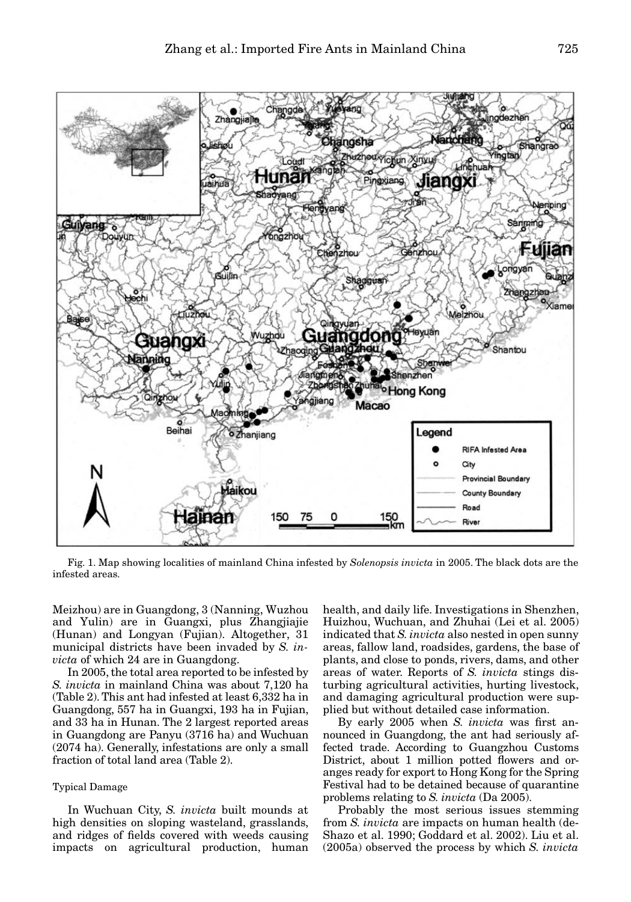

Fig. 1. Map showing localities of mainland China infested by *Solenopsis invicta* in 2005. The black dots are the infested areas.

Meizhou) are in Guangdong, 3 (Nanning, Wuzhou and Yulin) are in Guangxi, plus Zhangjiajie (Hunan) and Longyan (Fujian). Altogether, 31 municipal districts have been invaded by *S. invicta* of which 24 are in Guangdong.

In 2005, the total area reported to be infested by *S. invicta* in mainland China was about 7,120 ha (Table 2). This ant had infested at least 6,332 ha in Guangdong, 557 ha in Guangxi, 193 ha in Fujian, and 33 ha in Hunan. The 2 largest reported areas in Guangdong are Panyu (3716 ha) and Wuchuan (2074 ha). Generally, infestations are only a small fraction of total land area (Table 2).

#### Typical Damage

In Wuchuan City, *S. invicta* built mounds at high densities on sloping wasteland, grasslands, and ridges of fields covered with weeds causing impacts on agricultural production, human health, and daily life. Investigations in Shenzhen, Huizhou, Wuchuan, and Zhuhai (Lei et al. 2005) indicated that *S. invicta* also nested in open sunny areas, fallow land, roadsides, gardens, the base of plants, and close to ponds, rivers, dams, and other areas of water. Reports of *S. invicta* stings disturbing agricultural activities, hurting livestock, and damaging agricultural production were supplied but without detailed case information.

By early 2005 when *S. invicta* was first announced in Guangdong, the ant had seriously affected trade. According to Guangzhou Customs District, about 1 million potted flowers and oranges ready for export to Hong Kong for the Spring Festival had to be detained because of quarantine problems relating to *S. invicta* (Da 2005).

Probably the most serious issues stemming from *S. invicta* are impacts on human health (de-Shazo et al. 1990; Goddard et al. 2002). Liu et al. (2005a) observed the process by which *S. invicta*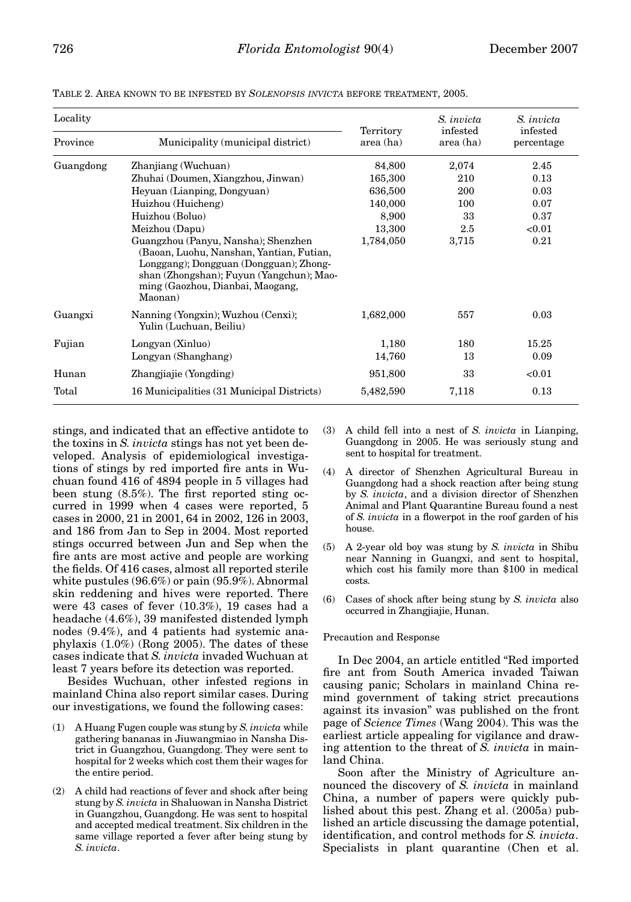| Locality  |                                                                                                                                                                                                                      | Territory | S. <i>invicta</i><br>infested | S. invicta<br>infested |
|-----------|----------------------------------------------------------------------------------------------------------------------------------------------------------------------------------------------------------------------|-----------|-------------------------------|------------------------|
| Province  | Municipality (municipal district)                                                                                                                                                                                    | area (ha) | area (ha)                     | percentage             |
| Guangdong | Zhanjiang (Wuchuan)                                                                                                                                                                                                  | 84,800    | 2,074                         | 2.45                   |
|           | Zhuhai (Doumen, Xiangzhou, Jinwan)                                                                                                                                                                                   | 165,300   | 210                           | 0.13                   |
|           | Heyuan (Lianping, Dongyuan)                                                                                                                                                                                          | 636,500   | 200                           | 0.03                   |
|           | Huizhou (Huicheng)                                                                                                                                                                                                   | 140,000   | 100                           | 0.07                   |
|           | Huizhou (Boluo)                                                                                                                                                                                                      | 8,900     | 33                            | 0.37                   |
|           | Meizhou (Dapu)                                                                                                                                                                                                       | 13,300    | $2.5\,$                       | < 0.01                 |
|           | Guangzhou (Panyu, Nansha); Shenzhen<br>(Baoan, Luohu, Nanshan, Yantian, Futian,<br>Longgang); Dongguan (Dongguan); Zhong-<br>shan (Zhongshan); Fuyun (Yangchun); Mao-<br>ming (Gaozhou, Dianbai, Maogang,<br>Maonan) | 1,784,050 | 3,715                         | 0.21                   |
| Guangxi   | Nanning (Yongxin); Wuzhou (Cenxi);<br>Yulin (Luchuan, Beiliu)                                                                                                                                                        | 1,682,000 | 557                           | 0.03                   |
| Fujian    | Longyan (Xinluo)                                                                                                                                                                                                     | 1,180     | 180                           | 15.25                  |
|           | Longyan (Shanghang)                                                                                                                                                                                                  | 14,760    | 13                            | 0.09                   |
| Hunan     | Zhangjiajie (Yongding)                                                                                                                                                                                               | 951,800   | 33                            | < 0.01                 |
| Total     | 16 Municipalities (31 Municipal Districts)                                                                                                                                                                           | 5,482,590 | 7,118                         | 0.13                   |

TABLE 2. AREA KNOWN TO BE INFESTED BY *SOLENOPSIS INVICTA* BEFORE TREATMENT, 2005.

stings, and indicated that an effective antidote to the toxins in *S. invicta* stings has not yet been developed. Analysis of epidemiological investigations of stings by red imported fire ants in Wuchuan found 416 of 4894 people in 5 villages had been stung (8.5%). The first reported sting occurred in 1999 when 4 cases were reported, 5 cases in 2000, 21 in 2001, 64 in 2002, 126 in 2003, and 186 from Jan to Sep in 2004. Most reported stings occurred between Jun and Sep when the fire ants are most active and people are working the fields. Of 416 cases, almost all reported sterile white pustules (96.6%) or pain (95.9%). Abnormal skin reddening and hives were reported. There were 43 cases of fever (10.3%), 19 cases had a headache (4.6%), 39 manifested distended lymph nodes (9.4%), and 4 patients had systemic anaphylaxis (1.0%) (Rong 2005). The dates of these cases indicate that *S. invicta* invaded Wuchuan at least 7 years before its detection was reported.

Besides Wuchuan, other infested regions in mainland China also report similar cases. During our investigations, we found the following cases:

- (1) A Huang Fugen couple was stung by *S.invicta* while gathering bananas in Jiuwangmiao in Nansha District in Guangzhou, Guangdong. They were sent to hospital for 2 weeks which cost them their wages for the entire period.
- (2) A child had reactions of fever and shock after being stung by *S. invicta* in Shaluowan in Nansha District in Guangzhou, Guangdong. He was sent to hospital and accepted medical treatment. Six children in the same village reported a fever after being stung by *S. invicta*.
- (3) A child fell into a nest of *S. invicta* in Lianping, Guangdong in 2005. He was seriously stung and sent to hospital for treatment.
- (4) A director of Shenzhen Agricultural Bureau in Guangdong had a shock reaction after being stung by *S. invicta*, and a division director of Shenzhen Animal and Plant Quarantine Bureau found a nest of *S. invicta* in a flowerpot in the roof garden of his house.
- (5) A 2-year old boy was stung by *S. invicta* in Shibu near Nanning in Guangxi, and sent to hospital, which cost his family more than \$100 in medical costs.
- (6) Cases of shock after being stung by *S. invicta* also occurred in Zhangjiajie, Hunan.

### Precaution and Response

In Dec 2004, an article entitled "Red imported fire ant from South America invaded Taiwan causing panic; Scholars in mainland China remind government of taking strict precautions against its invasion" was published on the front page of *Science Times* (Wang 2004). This was the earliest article appealing for vigilance and drawing attention to the threat of *S. invicta* in mainland China.

Soon after the Ministry of Agriculture announced the discovery of *S. invicta* in mainland China, a number of papers were quickly published about this pest. Zhang et al. (2005a) published an article discussing the damage potential, identification, and control methods for *S. invicta*. Specialists in plant quarantine (Chen et al.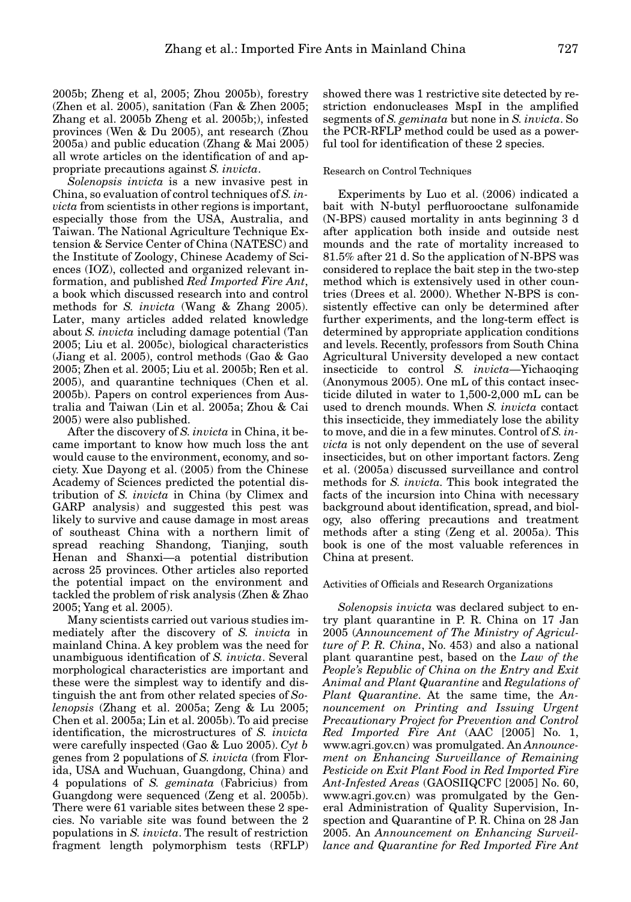2005b; Zheng et al, 2005; Zhou 2005b), forestry (Zhen et al. 2005), sanitation (Fan & Zhen 2005; Zhang et al. 2005b Zheng et al. 2005b;), infested provinces (Wen & Du 2005), ant research (Zhou 2005a) and public education (Zhang & Mai 2005) all wrote articles on the identification of and appropriate precautions against *S. invicta*.

*Solenopsis invicta* is a new invasive pest in China, so evaluation of control techniques of *S. invicta* from scientists in other regions is important, especially those from the USA, Australia, and Taiwan. The National Agriculture Technique Extension & Service Center of China (NATESC) and the Institute of Zoology, Chinese Academy of Sciences (IOZ), collected and organized relevant information, and published *Red Imported Fire Ant*, a book which discussed research into and control methods for *S. invicta* (Wang & Zhang 2005). Later, many articles added related knowledge about *S. invicta* including damage potential (Tan 2005; Liu et al. 2005c), biological characteristics (Jiang et al. 2005), control methods (Gao & Gao 2005; Zhen et al. 2005; Liu et al. 2005b; Ren et al. 2005), and quarantine techniques (Chen et al. 2005b). Papers on control experiences from Australia and Taiwan (Lin et al. 2005a; Zhou & Cai 2005) were also published.

After the discovery of *S. invicta* in China, it became important to know how much loss the ant would cause to the environment, economy, and society. Xue Dayong et al. (2005) from the Chinese Academy of Sciences predicted the potential distribution of *S. invicta* in China (by Climex and GARP analysis) and suggested this pest was likely to survive and cause damage in most areas of southeast China with a northern limit of spread reaching Shandong, Tianjing, south Henan and Shanxi—a potential distribution across 25 provinces. Other articles also reported the potential impact on the environment and tackled the problem of risk analysis (Zhen & Zhao 2005; Yang et al. 2005).

Many scientists carried out various studies immediately after the discovery of *S. invicta* in mainland China. A key problem was the need for unambiguous identification of *S. invicta*. Several morphological characteristics are important and these were the simplest way to identify and distinguish the ant from other related species of *Solenopsis* (Zhang et al. 2005a; Zeng & Lu 2005; Chen et al. 2005a; Lin et al. 2005b). To aid precise identification, the microstructures of *S. invicta* were carefully inspected (Gao & Luo 2005). *Cyt b* genes from 2 populations of *S. invicta* (from Florida, USA and Wuchuan, Guangdong, China) and 4 populations of *S. geminata* (Fabricius) from Guangdong were sequenced (Zeng et al. 2005b). There were 61 variable sites between these 2 species. No variable site was found between the 2 populations in *S. invicta*. The result of restriction fragment length polymorphism tests (RFLP) showed there was 1 restrictive site detected by restriction endonucleases MspI in the amplified segments of *S. geminata* but none in *S. invicta*. So the PCR-RFLP method could be used as a powerful tool for identification of these 2 species.

## Research on Control Techniques

Experiments by Luo et al. (2006) indicated a bait with N-butyl perfluorooctane sulfonamide (N-BPS) caused mortality in ants beginning 3 d after application both inside and outside nest mounds and the rate of mortality increased to 81.5% after 21 d. So the application of N-BPS was considered to replace the bait step in the two-step method which is extensively used in other countries (Drees et al. 2000). Whether N-BPS is consistently effective can only be determined after further experiments, and the long-term effect is determined by appropriate application conditions and levels. Recently, professors from South China Agricultural University developed a new contact insecticide to control *S. invicta*—Yichaoqing (Anonymous 2005). One mL of this contact insecticide diluted in water to 1,500-2,000 mL can be used to drench mounds. When *S. invicta* contact this insecticide, they immediately lose the ability to move, and die in a few minutes. Control of *S. invicta* is not only dependent on the use of several insecticides, but on other important factors. Zeng et al. (2005a) discussed surveillance and control methods for *S. invicta.* This book integrated the facts of the incursion into China with necessary background about identification, spread, and biology, also offering precautions and treatment methods after a sting (Zeng et al. 2005a). This book is one of the most valuable references in China at present.

#### Activities of Officials and Research Organizations

*Solenopsis invicta* was declared subject to entry plant quarantine in P. R. China on 17 Jan 2005 (*Announcement of The Ministry of Agriculture of P. R. China*, No. 453) and also a national plant quarantine pest, based on the *Law of the People's Republic of China on the Entry and Exit Animal and Plant Quarantine* and *Regulations of Plant Quarantine*. At the same time, the *Announcement on Printing and Issuing Urgent Precautionary Project for Prevention and Control Red Imported Fire Ant* (AAC [2005] No. 1, www.agri.gov.cn) was promulgated. An *Announcement on Enhancing Surveillance of Remaining Pesticide on Exit Plant Food in Red Imported Fire Ant-Infested Areas* (GAOSIIQCFC [2005] No. 60, www.agri.gov.cn) was promulgated by the General Administration of Quality Supervision, Inspection and Quarantine of P. R. China on 28 Jan 2005. An *Announcement on Enhancing Surveillance and Quarantine for Red Imported Fire Ant*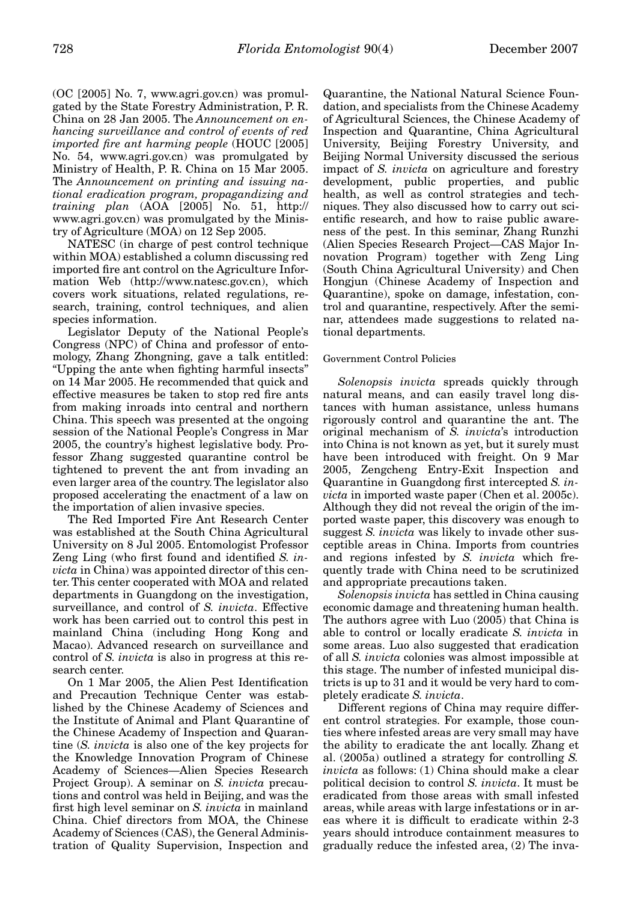(OC [2005] No. 7, www.agri.gov.cn) was promulgated by the State Forestry Administration, P. R. China on 28 Jan 2005. The *Announcement on enhancing surveillance and control of events of red imported fire ant harming people* (HOUC [2005] No. 54, www.agri.gov.cn) was promulgated by Ministry of Health, P. R. China on 15 Mar 2005. The *Announcement on printing and issuing national eradication program, propagandizing and training plan* (AOA [2005] No. 51, http:// www.agri.gov.cn) was promulgated by the Ministry of Agriculture (MOA) on 12 Sep 2005.

NATESC (in charge of pest control technique within MOA) established a column discussing red imported fire ant control on the Agriculture Information Web (http://www.natesc.gov.cn), which covers work situations, related regulations, research, training, control techniques, and alien species information.

Legislator Deputy of the National People's Congress (NPC) of China and professor of entomology, Zhang Zhongning, gave a talk entitled: "Upping the ante when fighting harmful insects" on 14 Mar 2005. He recommended that quick and effective measures be taken to stop red fire ants from making inroads into central and northern China. This speech was presented at the ongoing session of the National People's Congress in Mar 2005, the country's highest legislative body. Professor Zhang suggested quarantine control be tightened to prevent the ant from invading an even larger area of the country. The legislator also proposed accelerating the enactment of a law on the importation of alien invasive species.

The Red Imported Fire Ant Research Center was established at the South China Agricultural University on 8 Jul 2005. Entomologist Professor Zeng Ling (who first found and identified *S. invicta* in China) was appointed director of this center. This center cooperated with MOA and related departments in Guangdong on the investigation, surveillance, and control of *S. invicta*. Effective work has been carried out to control this pest in mainland China (including Hong Kong and Macao). Advanced research on surveillance and control of *S. invicta* is also in progress at this research center.

On 1 Mar 2005, the Alien Pest Identification and Precaution Technique Center was established by the Chinese Academy of Sciences and the Institute of Animal and Plant Quarantine of the Chinese Academy of Inspection and Quarantine (*S. invicta* is also one of the key projects for the Knowledge Innovation Program of Chinese Academy of Sciences—Alien Species Research Project Group). A seminar on *S. invicta* precautions and control was held in Beijing, and was the first high level seminar on *S. invicta* in mainland China. Chief directors from MOA, the Chinese Academy of Sciences (CAS), the General Administration of Quality Supervision, Inspection and

Quarantine, the National Natural Science Foundation, and specialists from the Chinese Academy of Agricultural Sciences, the Chinese Academy of Inspection and Quarantine, China Agricultural University, Beijing Forestry University, and Beijing Normal University discussed the serious impact of *S. invicta* on agriculture and forestry development, public properties, and public health, as well as control strategies and techniques. They also discussed how to carry out scientific research, and how to raise public awareness of the pest. In this seminar, Zhang Runzhi (Alien Species Research Project—CAS Major Innovation Program) together with Zeng Ling (South China Agricultural University) and Chen Hongjun (Chinese Academy of Inspection and Quarantine), spoke on damage, infestation, control and quarantine, respectively. After the seminar, attendees made suggestions to related national departments.

# Government Control Policies

*Solenopsis invicta* spreads quickly through natural means, and can easily travel long distances with human assistance, unless humans rigorously control and quarantine the ant. The original mechanism of *S. invicta*'s introduction into China is not known as yet, but it surely must have been introduced with freight. On 9 Mar 2005, Zengcheng Entry-Exit Inspection and Quarantine in Guangdong first intercepted *S. invicta* in imported waste paper (Chen et al. 2005c). Although they did not reveal the origin of the imported waste paper, this discovery was enough to suggest *S. invicta* was likely to invade other susceptible areas in China. Imports from countries and regions infested by *S. invicta* which frequently trade with China need to be scrutinized and appropriate precautions taken.

*Solenopsis invicta* has settled in China causing economic damage and threatening human health. The authors agree with Luo (2005) that China is able to control or locally eradicate *S. invicta* in some areas. Luo also suggested that eradication of all *S. invicta* colonies was almost impossible at this stage. The number of infested municipal districts is up to 31 and it would be very hard to completely eradicate *S. invicta*.

Different regions of China may require different control strategies. For example, those counties where infested areas are very small may have the ability to eradicate the ant locally. Zhang et al. (2005a) outlined a strategy for controlling *S. invicta* as follows: (1) China should make a clear political decision to control *S. invicta*. It must be eradicated from those areas with small infested areas, while areas with large infestations or in areas where it is difficult to eradicate within 2-3 years should introduce containment measures to gradually reduce the infested area, (2) The inva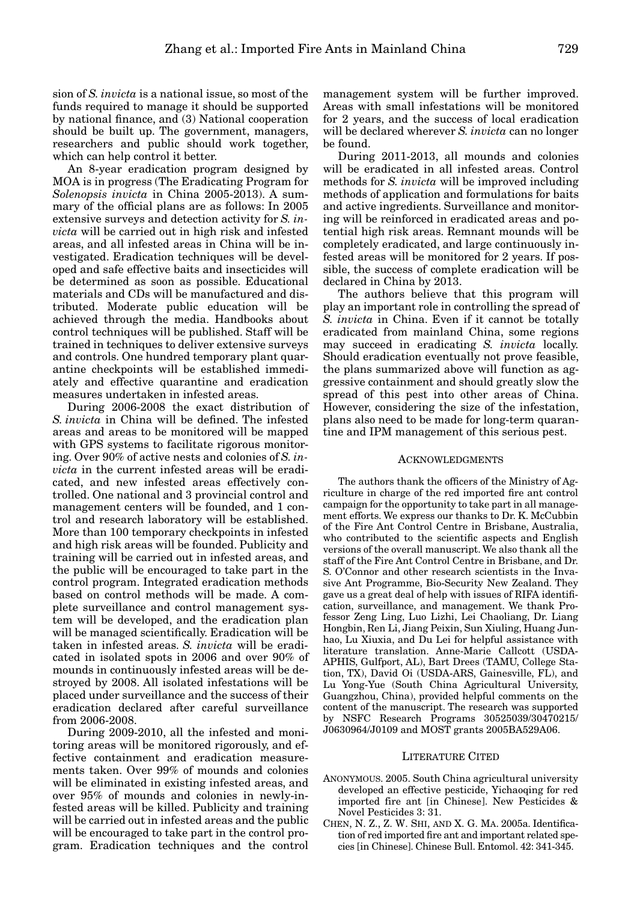sion of *S. invicta* is a national issue, so most of the funds required to manage it should be supported by national finance, and (3) National cooperation should be built up. The government, managers, researchers and public should work together, which can help control it better.

An 8-year eradication program designed by MOA is in progress (The Eradicating Program for *Solenopsis invicta* in China 2005-2013). A summary of the official plans are as follows: In 2005 extensive surveys and detection activity for *S. invicta* will be carried out in high risk and infested areas, and all infested areas in China will be investigated. Eradication techniques will be developed and safe effective baits and insecticides will be determined as soon as possible. Educational materials and CDs will be manufactured and distributed. Moderate public education will be achieved through the media. Handbooks about control techniques will be published. Staff will be trained in techniques to deliver extensive surveys and controls. One hundred temporary plant quarantine checkpoints will be established immediately and effective quarantine and eradication measures undertaken in infested areas.

During 2006-2008 the exact distribution of *S. invicta* in China will be defined. The infested areas and areas to be monitored will be mapped with GPS systems to facilitate rigorous monitoring. Over 90% of active nests and colonies of *S. invicta* in the current infested areas will be eradicated, and new infested areas effectively controlled. One national and 3 provincial control and management centers will be founded, and 1 control and research laboratory will be established. More than 100 temporary checkpoints in infested and high risk areas will be founded. Publicity and training will be carried out in infested areas, and the public will be encouraged to take part in the control program. Integrated eradication methods based on control methods will be made. A complete surveillance and control management system will be developed, and the eradication plan will be managed scientifically. Eradication will be taken in infested areas. *S. invicta* will be eradicated in isolated spots in 2006 and over 90% of mounds in continuously infested areas will be destroyed by 2008. All isolated infestations will be placed under surveillance and the success of their eradication declared after careful surveillance from 2006-2008.

During 2009-2010, all the infested and monitoring areas will be monitored rigorously, and effective containment and eradication measurements taken. Over 99% of mounds and colonies will be eliminated in existing infested areas, and over 95% of mounds and colonies in newly-infested areas will be killed. Publicity and training will be carried out in infested areas and the public will be encouraged to take part in the control program. Eradication techniques and the control management system will be further improved. Areas with small infestations will be monitored for 2 years, and the success of local eradication will be declared wherever *S. invicta* can no longer be found.

During 2011-2013, all mounds and colonies will be eradicated in all infested areas. Control methods for *S. invicta* will be improved including methods of application and formulations for baits and active ingredients. Surveillance and monitoring will be reinforced in eradicated areas and potential high risk areas. Remnant mounds will be completely eradicated, and large continuously infested areas will be monitored for 2 years. If possible, the success of complete eradication will be declared in China by 2013.

The authors believe that this program will play an important role in controlling the spread of *S. invicta* in China. Even if it cannot be totally eradicated from mainland China, some regions may succeed in eradicating *S. invicta* locally. Should eradication eventually not prove feasible, the plans summarized above will function as aggressive containment and should greatly slow the spread of this pest into other areas of China. However, considering the size of the infestation, plans also need to be made for long-term quarantine and IPM management of this serious pest.

#### ACKNOWLEDGMENTS

The authors thank the officers of the Ministry of Agriculture in charge of the red imported fire ant control campaign for the opportunity to take part in all management efforts. We express our thanks to Dr. K. McCubbin of the Fire Ant Control Centre in Brisbane, Australia, who contributed to the scientific aspects and English versions of the overall manuscript. We also thank all the staff of the Fire Ant Control Centre in Brisbane, and Dr. S. O'Connor and other research scientists in the Invasive Ant Programme, Bio-Security New Zealand. They gave us a great deal of help with issues of RIFA identification, surveillance, and management. We thank Professor Zeng Ling, Luo Lizhi, Lei Chaoliang, Dr. Liang Hongbin, Ren Li, Jiang Peixin, Sun Xiuling, Huang Junhao, Lu Xiuxia, and Du Lei for helpful assistance with literature translation. Anne-Marie Callcott (USDA-APHIS, Gulfport, AL), Bart Drees (TAMU, College Station, TX), David Oi (USDA-ARS, Gainesville, FL), and Lu Yong-Yue (South China Agricultural University, Guangzhou, China), provided helpful comments on the content of the manuscript. The research was supported by NSFC Research Programs 30525039/30470215/ J0630964/J0109 and MOST grants 2005BA529A06.

#### LITERATURE CITED

- ANONYMOUS. 2005. South China agricultural university developed an effective pesticide, Yichaoqing for red imported fire ant [in Chinese]. New Pesticides & Novel Pesticides 3: 31.
- CHEN, N. Z., Z. W. SHI, AND X. G. MA. 2005a. Identification of red imported fire ant and important related species [in Chinese]. Chinese Bull. Entomol. 42: 341-345.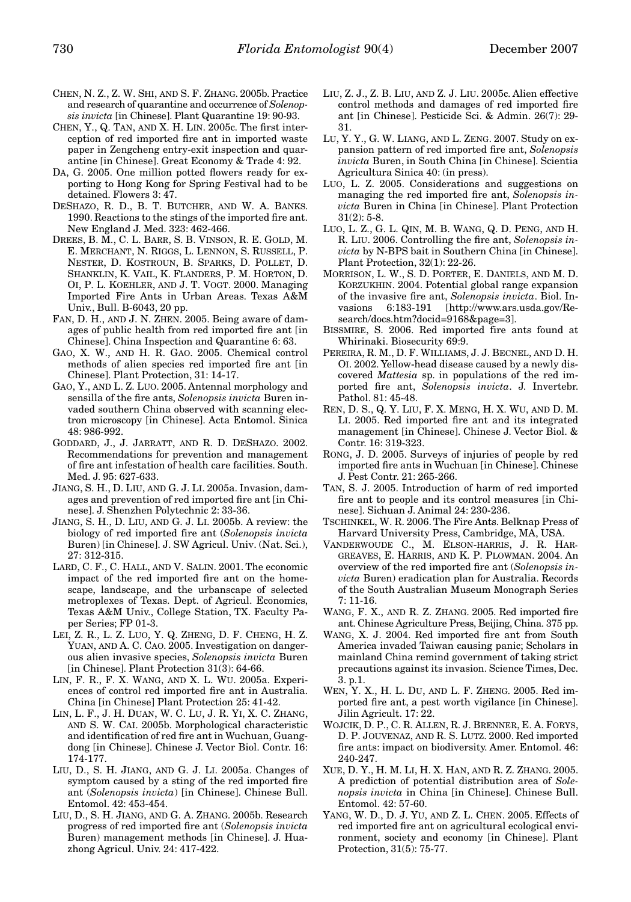- CHEN, N. Z., Z. W. SHI, AND S. F. ZHANG. 2005b. Practice and research of quarantine and occurrence of *Solenopsis invicta* [in Chinese]. Plant Quarantine 19: 90-93.
- CHEN, Y., Q. TAN, AND X. H. LIN. 2005c. The first interception of red imported fire ant in imported waste paper in Zengcheng entry-exit inspection and quarantine [in Chinese]. Great Economy & Trade 4: 92.
- DA, G. 2005. One million potted flowers ready for exporting to Hong Kong for Spring Festival had to be detained. Flowers 3: 47.
- DESHAZO, R. D., B. T. BUTCHER, AND W. A. BANKS. 1990. Reactions to the stings of the imported fire ant. New England J. Med. 323: 462-466.
- DREES, B. M., C. L. BARR, S. B. VINSON, R. E. GOLD, M. E. MERCHANT, N. RIGGS, L. LENNON, S. RUSSELL, P. NESTER, D. KOSTROUN, B. SPARKS, D. POLLET, D. SHANKLIN, K. VAIL, K. FLANDERS, P. M. HORTON, D. OI, P. L. KOEHLER, AND J. T. VOGT. 2000. Managing Imported Fire Ants in Urban Areas. Texas A&M Univ., Bull. B-6043, 20 pp.
- FAN, D. H., AND J. N. ZHEN. 2005. Being aware of damages of public health from red imported fire ant [in Chinese]. China Inspection and Quarantine 6: 63.
- GAO, X. W., AND H. R. GAO. 2005. Chemical control methods of alien species red imported fire ant [in Chinese]. Plant Protection, 31: 14-17.
- GAO, Y., AND L. Z. LUO. 2005. Antennal morphology and sensilla of the fire ants, *Solenopsis invicta* Buren invaded southern China observed with scanning electron microscopy [in Chinese]. Acta Entomol. Sinica 48: 986-992.
- GODDARD, J., J. JARRATT, AND R. D. DESHAZO. 2002. Recommendations for prevention and management of fire ant infestation of health care facilities. South. Med. J. 95: 627-633.
- JIANG, S. H., D. LIU, AND G. J. LI. 2005a. Invasion, damages and prevention of red imported fire ant [in Chinese]. J. Shenzhen Polytechnic 2: 33-36.
- JIANG, S. H., D. LIU, AND G. J. LI. 2005b. A review: the biology of red imported fire ant (*Solenopsis invicta* Buren) [in Chinese]. J. SW Agricul. Univ. (Nat. Sci.), 27: 312-315.
- LARD, C. F., C. HALL, AND V. SALIN. 2001. The economic impact of the red imported fire ant on the homescape, landscape, and the urbanscape of selected metroplexes of Texas. Dept. of Agricul. Economics, Texas A&M Univ., College Station, TX. Faculty Paper Series; FP 01-3.
- LEI, Z. R., L. Z. LUO, Y. Q. ZHENG, D. F. CHENG, H. Z. YUAN, AND A. C. CAO. 2005. Investigation on dangerous alien invasive species, *Solenopsis invicta* Buren [in Chinese]. Plant Protection 31(3): 64-66.
- LIN, F. R., F. X. WANG, AND X. L. WU. 2005a. Experiences of control red imported fire ant in Australia. China [in Chinese] Plant Protection 25: 41-42.
- LIN, L. F., J. H. DUAN, W. C. LU, J. R. YI, X. C. ZHANG, AND S. W. CAI. 2005b. Morphological characteristic and identification of red fire ant in Wuchuan, Guangdong [in Chinese]. Chinese J. Vector Biol. Contr. 16: 174-177.
- LIU, D., S. H. JIANG, AND G. J. LI. 2005a. Changes of symptom caused by a sting of the red imported fire ant (*Solenopsis invicta*) [in Chinese]. Chinese Bull. Entomol. 42: 453-454.
- LIU, D., S. H. JIANG, AND G. A. ZHANG. 2005b. Research progress of red imported fire ant (*Solenopsis invicta* Buren) management methods [in Chinese]. J. Huazhong Agricul. Univ. 24: 417-422.
- LIU, Z. J., Z. B. LIU, AND Z. J. LIU. 2005c. Alien effective control methods and damages of red imported fire ant [in Chinese]. Pesticide Sci. & Admin. 26(7): 29- 31.
- LU, Y. Y., G. W. LIANG, AND L. ZENG. 2007. Study on expansion pattern of red imported fire ant, *Solenopsis invicta* Buren, in South China [in Chinese]. Scientia Agricultura Sinica 40: (in press).
- LUO, L. Z. 2005. Considerations and suggestions on managing the red imported fire ant, *Solenopsis invicta* Buren in China [in Chinese]. Plant Protection  $31(2): 5-8.$
- LUO, L. Z., G. L. QIN, M. B. WANG, Q. D. PENG, AND H. R. LIU. 2006. Controlling the fire ant, *Solenopsis invicta* by N-BPS bait in Southern China [in Chinese]. Plant Protection, 32(1): 22-26.
- MORRISON, L. W., S. D. PORTER, E. DANIELS, AND M. D. KORZUKHIN. 2004. Potential global range expansion of the invasive fire ant, *Solenopsis invicta*. Biol. Invasions 6:183-191 [http://www.ars.usda.gov/Research/docs.htm?docid=9168&page=3].
- BISSMIRE, S. 2006. Red imported fire ants found at Whirinaki. Biosecurity 69:9.
- PEREIRA, R. M., D. F. WILLIAMS, J. J. BECNEL, AND D. H. OI. 2002. Yellow-head disease caused by a newly discovered *Mattesia* sp. in populations of the red imported fire ant, *Solenopsis invicta*. J. Invertebr. Pathol. 81: 45-48.
- REN, D. S., Q. Y. LIU, F. X. MENG, H. X. WU, AND D. M. LI. 2005. Red imported fire ant and its integrated management [in Chinese]. Chinese J. Vector Biol. & Contr. 16: 319-323.
- RONG, J. D. 2005. Surveys of injuries of people by red imported fire ants in Wuchuan [in Chinese]. Chinese J. Pest Contr. 21: 265-266.
- TAN, S. J. 2005. Introduction of harm of red imported fire ant to people and its control measures [in Chinese]. Sichuan J. Animal 24: 230-236.
- TSCHINKEL, W. R. 2006. The Fire Ants. Belknap Press of Harvard University Press, Cambridge, MA, USA.
- VANDERWOUDE C., M. ELSON-HARRIS, J. R. HAR-GREAVES, E. HARRIS, AND K. P. PLOWMAN. 2004. An overview of the red imported fire ant (*Solenopsis invicta* Buren) eradication plan for Australia. Records of the South Australian Museum Monograph Series 7: 11-16.
- WANG, F. X., AND R. Z. ZHANG. 2005. Red imported fire ant. Chinese Agriculture Press, Beijing, China. 375 pp.
- WANG, X. J. 2004. Red imported fire ant from South America invaded Taiwan causing panic; Scholars in mainland China remind government of taking strict precautions against its invasion. Science Times, Dec. 3. p.1.
- WEN, Y. X., H. L. DU, AND L. F. ZHENG. 2005. Red imported fire ant, a pest worth vigilance [in Chinese]. Jilin Agricult. 17: 22.
- WOJCIK, D. P., C. R. ALLEN, R. J. BRENNER, E. A. FORYS, D. P. JOUVENAZ, AND R. S. LUTZ. 2000. Red imported fire ants: impact on biodiversity. Amer. Entomol. 46: 240-247.
- XUE, D. Y., H. M. LI, H. X. HAN, AND R. Z. ZHANG. 2005. A prediction of potential distribution area of *Solenopsis invicta* in China [in Chinese]. Chinese Bull. Entomol. 42: 57-60.
- YANG, W. D., D. J. YU, AND Z. L. CHEN. 2005. Effects of red imported fire ant on agricultural ecological environment, society and economy [in Chinese]. Plant Protection, 31(5): 75-77.